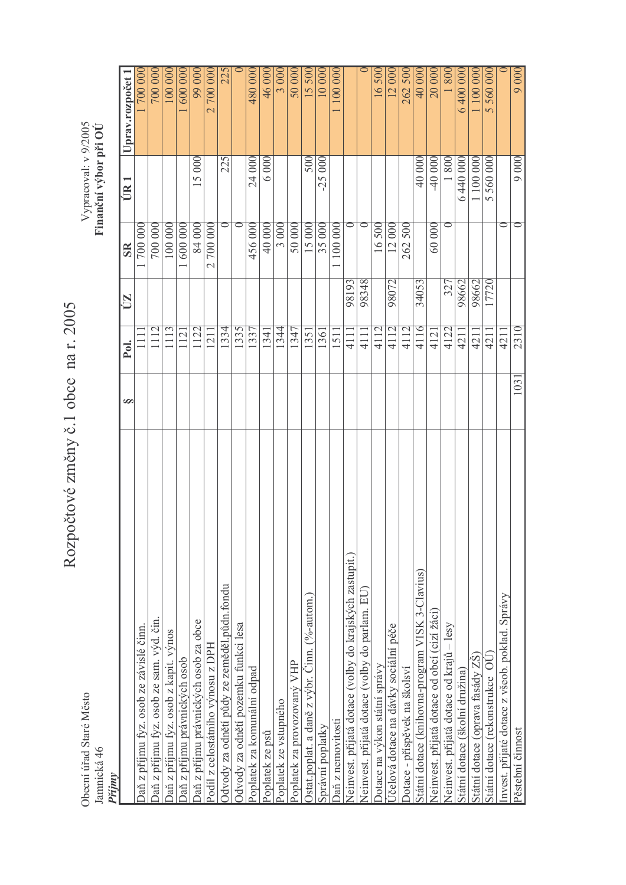| Ì<br>؟<br>€           |
|-----------------------|
| r<br>V<br>Í<br>Š<br>l |
| C<br>C<br>C<br>I      |
| ×                     |
| j<br>١<br>1           |
| ١                     |
| Š<br>;<br>;<br>ł      |

Obecní úřad Staré Město<br>Jamnická 46 Příjmy

 ${\rm Vypracoval: v}~9/2005$ Finanční výbor při ${\rm O}{\rm U}$ 

|                                                         | S    | Pol. | ÚZ    | SR                | $\mathbb{E}$        | Uprav.rozpočet 1 |
|---------------------------------------------------------|------|------|-------|-------------------|---------------------|------------------|
| Daň z příjmu fyz. osob ze závislé činn                  |      |      |       | 700 000           |                     | 700 000          |
| aň z příjmu fyz. osob ze sam. výd. čin.                 |      | 1112 |       | 700 000           |                     | 700 000          |
| daň z příjmu fyz. osob z kapit. výnos                   |      |      |       | 100 000           |                     | 100 000          |
| aň z příjmu právnických osob                            |      | 121  |       | 600 000           |                     | <b>600 000</b>   |
| Daň z příjmu právnických osob za obce                   |      | 1122 |       | 84 000            | 15 000              | 99 000           |
| Podíl z celostátního výnosu z DPH                       |      | 1211 |       | 700 000<br>$\sim$ |                     | 700 000          |
| Odvody za odnětí půdy ze zeměděl půdn.fondu             |      | 1334 |       |                   | 225                 | 225              |
| Odvody za odnětí pozemku funkci lesa                    |      | 1335 |       | ⊂                 |                     |                  |
| Poplatek za komunální odpad                             |      | 1337 |       | 456000            | 24 000              | 180 000          |
| Poplatek ze psů                                         |      | 134  |       | 40 000            | 6 000               | 46 000           |
| Poplatek ze vstupného                                   |      | 1344 |       | 3 000             |                     | 3 000            |
| Poplatek za provozovaný VHP                             |      | 1347 |       | 50000             |                     | 50000            |
| Ostat.poplat. a dané z výbr. Cinn. $(\%$ -autom.        |      | 135  |       | 15 000            | 500                 | 15 500           |
| Správní poplatky                                        |      | 1361 |       | 35000             | $-25000$            | 10000            |
| Jaň z nemovitosti                                       |      | 151  |       | 100 000           |                     | 100 000          |
| Neinvest. přijatá dotace (volby do krajských zastupit.) |      | 4111 | 98193 |                   |                     |                  |
| Veinvest. přijatá dotace (volby do parlam. EU           |      | 411  | 98348 |                   |                     |                  |
| otace na výkon státní správy                            |      | 4112 |       | 16500             |                     | 16500            |
| lčelová dotace na dávky sociální péče                   |      | 4112 | 98072 | 12000             |                     | 12 000           |
| Ootace - příspěvek na školsví                           |      | 4112 |       | 262500            |                     | 262500           |
| Státní dotace (knihovna-program VISK 3-Clavius)         |      | 4116 | 34053 |                   | 40000               | 40 000           |
| Veinvest. přijatá dotace od obcí (cizí žáci)            |      | 4121 |       | 60000             | 40 000              | 20 000           |
| Neinvest. přijatá dotace od krajů - lesy                |      | 4122 | 327   |                   | 1800                | 800              |
| Státní dotace (školní družina)                          |      | 421  | 98662 |                   | 6440000             |                  |
| Státní dotace (oprava fasády ZŠ)                        |      | 421  | 98662 |                   | 1 100 000           | 100000           |
| Státní dotace (rekonstrukce OU)                         |      | 421  | 17720 |                   | 560 000<br>$\sigma$ | 5560000          |
| Invest. přijaté dotace z všeob. poklad. Správy          |      | 421  |       |                   |                     |                  |
| Pěstební činnost                                        | 1031 | 2310 |       | $\circ$           | 9000                | 9000             |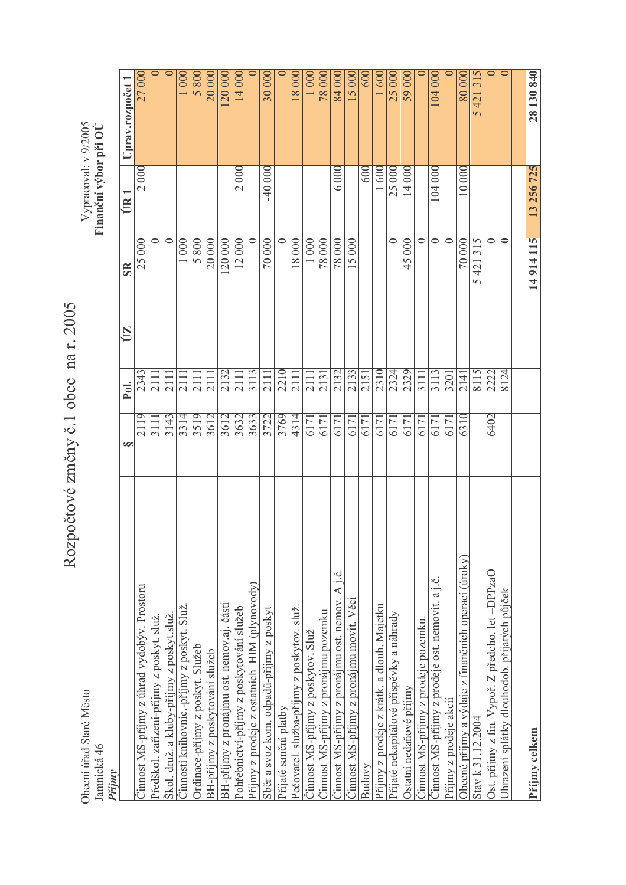Rozpočtové změny č.1 obce na r. 2005

Obecní úřad Staré Město<br>Jamnická 46<br>**Příjmy** 

 ${\rm Vypracoval: v}~9/2005$  Finanční výbor při ${\rm O}{\rm U}$ 

|                                                     | œ.   | Pol.             | ÚZ | SR                     | ŰR.                             | Uprav.rozpočet 1                         |
|-----------------------------------------------------|------|------------------|----|------------------------|---------------------------------|------------------------------------------|
| Činnost MS-příjmy z úhrad vydobýv. Prostoru         |      | 2343             |    | 000<br>25              | 000<br>$\overline{\mathcal{C}}$ | $27\,000$                                |
| Předškol. zařízení-příjmy z poskyt. služ.           | 3111 | 211              |    | ੇ∣                     |                                 |                                          |
| Škol. druž. a kluby-příjmy z poskyt.služ.           | 3143 | 211              |    | $\circ$                |                                 |                                          |
| Činnosti knihovnic.-příjmy z poskyt. Služ.          | 3314 | 211              |    | 000                    |                                 | $\widetilde{00}$                         |
| Ordinace-příjmy z poskyt. Služeb                    | 3519 | 211              |    | 800<br>$\overline{S}$  |                                 | 80<br>$\overline{S}$                     |
| BH-příjmy z poskytování služeb                      | 3612 | 211              |    | 20 000                 |                                 | 20 00                                    |
| BH-příjmy z pronájmu ost. nemov.aj. částí           | 3612 | 2132             |    | 120 000                |                                 | 120 00                                   |
| Pohřebnictví-příjmy z poskytování služeb            | 3632 | 211              |    | 12 000                 | 2000                            | 14 000                                   |
| Příjmy z prodeje z ostatních HIM (plynovody)        | 3633 | 3113             |    |                        |                                 |                                          |
| Sběr a svoz kom. odpadů-příjmy z poskyt             | 3722 | 211              |    | 70 000                 | $-40000$                        | 30 000                                   |
| Přijaté sanční platby                               | 3769 | 2210             |    |                        |                                 |                                          |
| Pečovatel. služba-příjmy z poskytov. služ.          | 4314 | 211              |    | 000<br>$\frac{8}{18}$  |                                 | 18 00                                    |
| Činnost MS-příjmy z poskytov. Služ                  | 6171 | 211              |    | 000                    |                                 | $\bar{\odot}$                            |
| Cinnost MS-příjmy z pronájmu pozemku                | 6171 | 213              |    | 780000                 |                                 | 78 00                                    |
| Činnost MS-příjmy z pronájmu ost. nemov. A j.č      | 617  | 2132             |    | 78 000                 | 6 000                           | 84 000                                   |
| Cinnost MS-příjmy z pronájmu movit. Věci            | 6171 | 2133             |    | 15 000                 |                                 | 15 000                                   |
| Budovy                                              | 617  | 215              |    |                        | 600                             | 60(                                      |
| Přijmy z prodeje z krátk. a dlouh. Majetku          | 6171 | 2310             |    |                        | 1600                            | 60 <sup>°</sup>                          |
| Přijaté nekapitálové příspěvky a náhrady            | 617  | 2324             |    | O                      | 25 000                          | 25 000                                   |
| Ostatní nedaňové příjmy                             | 617  | 2329             |    | 000<br>45              | 14 000                          | 59 000                                   |
| Cinnost MS-příjmy z prodeje pozemku.                | 6171 | $\frac{3111}{2}$ |    | $\circ$                |                                 |                                          |
| Cinnost MS-příjmy z prodeje ost. nemovit. a j.č.    | 6171 | 3113             |    | O                      | 104 000                         | 104 000                                  |
| Příjmy z prodeje akcií                              | 6171 | 3201             |    | ⊂                      |                                 |                                          |
| Obecné příjmy a výdaje z finančních operací (úroky) | 6310 | 2141             |    | 70000                  | 10 000                          | <b>0008</b>                              |
| Stav k 31.12.2004                                   |      | 8115             |    | 315<br>421<br>$\Omega$ |                                 | $\overline{31}$<br>421<br>$\overline{S}$ |
| Ost. příjmy z fin. Vypoř. Z předcho. let -DPPzaO    | 6402 | 2222             |    | $\circ$                |                                 |                                          |
| Jhrazení splátky dlouhodob. přijatých půjček        |      | 8124             |    | $\bullet$              |                                 |                                          |
|                                                     |      |                  |    |                        |                                 |                                          |
| Příjmy celkem                                       |      |                  |    | 14914115               | 13 256 725                      | 28 130 840                               |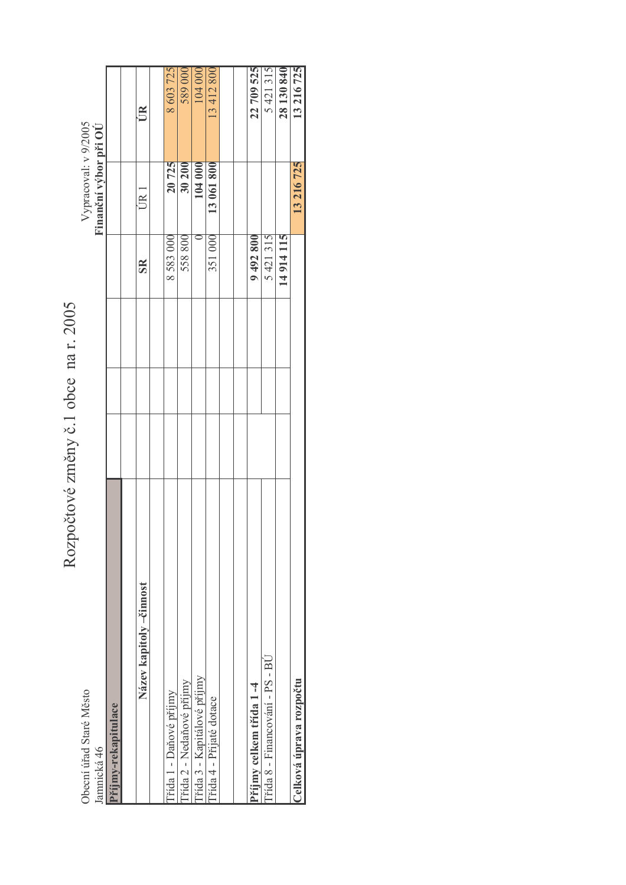|                                        | Rozpočtové změny č.1 obce na r. 2005 |                         |                                               |            |
|----------------------------------------|--------------------------------------|-------------------------|-----------------------------------------------|------------|
| Obecní úřad Staré Město<br>Jamnická 46 |                                      |                         | Vypracoval: v 9/2005<br>Finanční výbor při OU |            |
| Příjmy-rekapitulace                    |                                      |                         |                                               |            |
|                                        |                                      |                         |                                               |            |
| Název kapitoly –činnost                |                                      | $\overline{\textbf{S}}$ | JR 1                                          | E          |
|                                        |                                      |                         |                                               |            |
| řída 1 - Daňové příjmy                 |                                      | 8583000                 | 20725                                         | 8 603 725  |
| Tida 2 - Nedaňové příjmy               |                                      | 558800                  | 30 200                                        | 589 000    |
| ľřída 3 - Kapitálové příjmy            |                                      |                         | 104 000                                       | 104 000    |
| l'Hda 4 - Přijaté dotace               |                                      | 351 000                 | 13 061 800                                    | 13412800   |
|                                        |                                      |                         |                                               |            |
|                                        |                                      |                         |                                               |            |
| Příjmy celkem třída 1-4                |                                      | 9492800                 |                                               | 22 709 525 |
| Fida 8 - Financování - PS - BU         |                                      | 5421315                 |                                               | 5421315    |
|                                        |                                      | 14914115                |                                               | 28 130 840 |
| Celková úprava rozpočtu                |                                      |                         | 13216725                                      | 13 216 725 |
|                                        |                                      |                         |                                               |            |